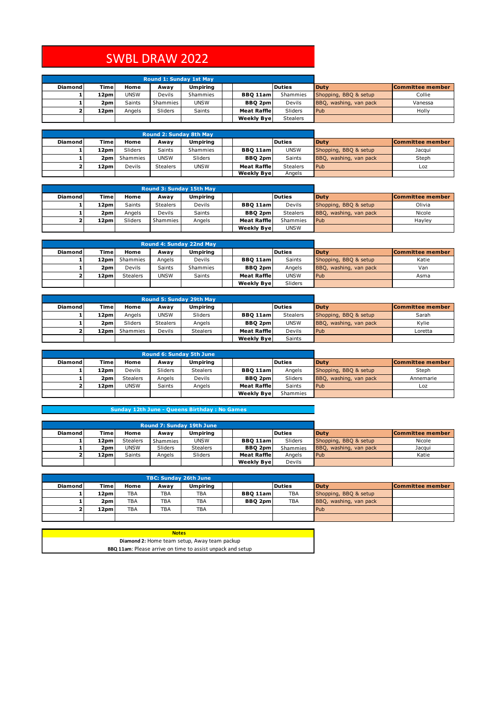## SWBL DRAW 2022

|                |       | <b>Round 1: Sunday 1st May</b> |          |                 |                    |                 |                        |                         |
|----------------|-------|--------------------------------|----------|-----------------|--------------------|-----------------|------------------------|-------------------------|
| <b>Diamond</b> | Time  | Home                           | Awav     | <b>Umpiring</b> |                    | <b>Duties</b>   | <b>Duty</b>            | <b>Committee member</b> |
|                | 12pml | <b>UNSW</b>                    | Devils   | Shammies        | <b>BBO 11aml</b>   | Shammies        | Shopping, BBQ & setup  | Collie                  |
|                | 2pm   | Saints                         | Shammies | <b>UNSW</b>     | <b>BBQ 2pm</b>     | Devils          | BBQ, washing, van pack | Vanessa                 |
|                | 12pm  | Angels                         | Sliders  | Saints          | <b>Meat Raffle</b> | Sliders         | Pub                    | Holly                   |
|                |       |                                |          |                 | <b>Weekly Byel</b> | <b>Stealers</b> |                        |                         |

|                |                  | <b>Round 2: Sunday 8th May</b> |                 |                 |                    |                 |                        |                  |
|----------------|------------------|--------------------------------|-----------------|-----------------|--------------------|-----------------|------------------------|------------------|
| <b>Diamond</b> | Timel            | Home                           | Awav            | <b>Umpiring</b> |                    | <b>Duties</b>   | <b>Duty</b>            | Committee member |
|                | 12pml            | Sliders                        | Saints          | Shammies        | <b>BBO 11aml</b>   | <b>UNSW</b>     | Shopping, BBQ & setup  | Jacqui           |
|                | 2 <sub>pm</sub>  | Shammies                       | <b>UNSW</b>     | Sliders         | <b>BBQ 2pm</b>     | Saints          | BBQ, washing, van pack | Steph            |
|                | 12 <sub>pm</sub> | Devils                         | <b>Stealers</b> | <b>UNSW</b>     | <b>Meat Raffle</b> | <b>Stealers</b> | Pub                    | Loz              |
|                |                  |                                |                 |                 | <b>Weekly Byel</b> | Angels          |                        |                  |

|                |             | <b>Round 3: Sunday 15th May</b> |                 |          |                    |                 |                        |                  |
|----------------|-------------|---------------------------------|-----------------|----------|--------------------|-----------------|------------------------|------------------|
| <b>Diamond</b> | <b>Time</b> | Home                            | Awav            | Umpirina |                    | <b>Duties</b>   | <b>Duty</b>            | Committee member |
|                | 12pml       | <b>Saints</b>                   | <b>Stealers</b> | Devils   | <b>BBO 11aml</b>   | <b>Devils</b>   | Shopping, BBQ & setup  | Olivia           |
|                | 2pm         | Angels                          | Devils          | Saints   | <b>BBO 2pm</b>     | <b>Stealers</b> | BBQ, washing, van pack | Nicole           |
|                | 12pm        | Sliders                         | Shammies        | Angels   | <b>Meat Raffle</b> | Shammies        | Pub                    | Havley           |
|                |             |                                 |                 |          | <b>Weekly Byel</b> | <b>UNSW</b>     |                        |                  |

|                |                  |                 | Round 4: Sunday 22nd May |                 |                    |               |                        |                  |
|----------------|------------------|-----------------|--------------------------|-----------------|--------------------|---------------|------------------------|------------------|
| <b>Diamond</b> | Time             | Home            | Awav                     | <b>Umpiring</b> |                    | <b>Duties</b> | <b>Duty</b>            | Committee member |
|                | 12 <sub>pm</sub> | Shammies        | Angels                   | Devils          | <b>BBO 11aml</b>   | Saints        | Shopping, BBQ & setup  | Katie            |
|                | 2pm              | Devils          | <b>Saints</b>            | Shammies        | <b>BBQ 2pm</b>     | Angels        | BBQ, washing, van pack | Van              |
|                | 12 <sub>pm</sub> | <b>Stealers</b> | <b>UNSW</b>              | Saints          | <b>Meat Raffle</b> | <b>UNSW</b>   | <b>Pub</b>             | Asma             |
|                |                  |                 |                          |                 | <b>Weekly Byel</b> | Sliders       |                        |                  |

|                |       | <b>Round 5: Sunday 29th May</b> |                 |                 |                    |                 |                        |                  |
|----------------|-------|---------------------------------|-----------------|-----------------|--------------------|-----------------|------------------------|------------------|
| <b>Diamond</b> | Time  | Home                            | Awav            | <b>Umpiring</b> |                    | <b>Duties</b>   | <b>Duty</b>            | Committee member |
|                | 12pml | Angels                          | <b>UNSW</b>     | Sliders         | <b>BBQ 11am</b>    | <b>Stealers</b> | Shopping, BBQ & setup  | Sarah            |
|                | 2pml  | Sliders                         | <b>Stealers</b> | Angels          | <b>BBQ 2pm</b>     | <b>UNSW</b>     | BBQ, washing, van pack | Kvlie            |
|                | 12pml | Shammies                        | Devils          | <b>Stealers</b> | <b>Meat Raffle</b> | Devils          | Pub                    | Loretta          |
|                |       |                                 |                 |                 | <b>Weekly Bye</b>  | Saints          |                        |                  |

|                |                 | <b>Round 6: Sunday 5th June</b> |               |                 |                    |               |                        |                  |
|----------------|-----------------|---------------------------------|---------------|-----------------|--------------------|---------------|------------------------|------------------|
| <b>Diamond</b> | <b>Time</b>     | Home                            | Awav          | <b>Umpiring</b> |                    | <b>Duties</b> | <b>Duty</b>            | Committee member |
|                | 12pml           | Devils                          | Sliders       | <b>Stealers</b> | <b>BBO 11aml</b>   | Angels        | Shopping, BBQ & setup  | Steph            |
|                | 2 <sub>pm</sub> | <b>Stealers</b>                 | Angels        | Devils          | <b>BBQ 2pm</b>     | Sliders       | BBQ, washing, van pack | Annemarie        |
|                | 12pml           | <b>UNSW</b>                     | <b>Saints</b> | Angels          | <b>Meat Raffle</b> | <b>Saints</b> | Pub                    | Loz              |
|                |                 |                                 |               |                 | <b>Weekly Byel</b> | Shammies      |                        |                  |

## **Sunday 12th June - Queens Birthday : No Games**

|                |                 | <b>Round 7: Sunday 19th June</b> |          |                 |                    |                |                        |                         |
|----------------|-----------------|----------------------------------|----------|-----------------|--------------------|----------------|------------------------|-------------------------|
| <b>Diamond</b> | Time            | Home                             | Awav     | <b>Umpiring</b> |                    | <b>Duties</b>  | <b>Duty</b>            | <b>Committee member</b> |
|                | 12pm            | <b>Stealers</b>                  | Shammies | <b>UNSW</b>     | <b>BBO 11am</b>    | <b>Sliders</b> | Shopping, BBQ & setup  | Nicole                  |
|                | 2 <sub>pm</sub> | <b>UNSW</b>                      | Sliders  | <b>Stealers</b> | <b>BBO 2pm</b>     | Shammies       | BBQ, washing, van pack | Jacqui                  |
|                | 12pm            | <b>Saints</b>                    | Angels   | Sliders         | <b>Meat Raffle</b> | Angels         | Pub                    | Katie                   |
|                |                 |                                  |          |                 | <b>Weekly Byel</b> | Devils         |                        |                         |

|                |                  |            | <b>TBC: Sunday 26th June</b> |                 |                 |               |                        |                  |
|----------------|------------------|------------|------------------------------|-----------------|-----------------|---------------|------------------------|------------------|
| <b>Diamond</b> | <b>Time</b>      | Home       | Awav                         | <b>Umpiring</b> |                 | <b>Duties</b> | <b>Duty</b>            | Committee member |
|                | 12pml            | <b>TBA</b> | <b>TBA</b>                   | <b>TBA</b>      | <b>BBO 11am</b> | <b>TBA</b>    | Shopping, BBQ & setup  |                  |
|                | 2 <sub>pm</sub>  | <b>TBA</b> | <b>TBA</b>                   | <b>TBA</b>      | <b>BBQ 2pm</b>  | <b>TBA</b>    | BBQ, washing, van pack |                  |
|                | 12 <sub>pm</sub> | <b>TBA</b> | <b>TBA</b>                   | <b>TBA</b>      |                 |               | Pub                    |                  |
|                |                  |            |                              |                 |                 |               |                        |                  |

| <b>Notes</b>                                                      |  |
|-------------------------------------------------------------------|--|
| Diamond 2: Home team setup, Away team packup                      |  |
| <b>BBQ 11am:</b> Please arrive on time to assist unpack and setup |  |